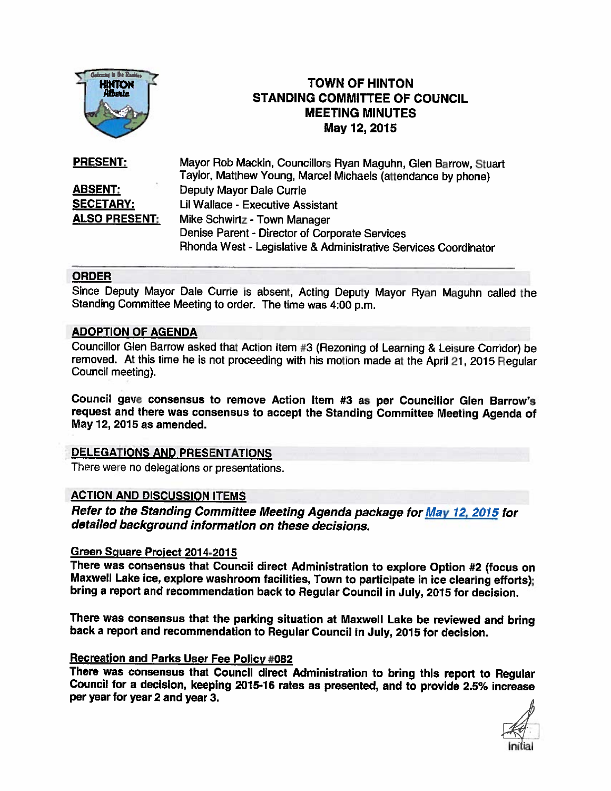

# TOWN OF HINTON **STANDING COMMITTEE OF COUNCIL** MEETING MINUTES May 12, 2015

**PRESENT:** Mayor Rob Mackin, Councillors Ryan Maguhn, Glen Barrow, Stuart Taylor, Matthew Young, Marcel Michaels (attendance by <sup>p</sup>hone) **ABSENT:** Deputy Mayor Dale Currie SECETARY: Lii Wallace - Executive Assistant ALSO PRESENT: Mike Schwirtz - Town Manager Denise Parent - Director of Corporate Services Rhonda West - Legislative & Administrative Services Coordinator

#### ORDER

Since Deputy Mayor Dale Currie is absent, Acting Deputy Mayor Ryan Maguhn called the Standing Committee Meeting to order. The time was 4:00 p.m.

## ADOPTION OF AGENDA

Councillor Glen Barrow asked that Action Item #3 (Rezoning of Learning & Leisure Corridor) be removed. At this time he is not proceeding with his motion made at the April 21, <sup>2015</sup> Regular Council meeting).

Council gave consensus to remove Action Item #3 as per Councillor Glen Barrow's request and there was consensus to accept the Standing Committee Meeting Agenda of May 12, 2015 as amended.

## DELEGATIONS AND PRESENTATIONS

There were no delegations or presentations.

#### ACTION AND DISCUSSION ITEMS

Refer to the Standing Committee Meeting Agenda package for May 12, 2015 for detailed background information on these decisions.

#### Green Square Project 2014-2015

There was consensus that Council direct Administration to explore Option #2 (focus on Maxwell Lake ice, explore washroom facilities, Town to participate in ice clearing efforts); bring <sup>a</sup> report and recommendation back to Regular Council in July, <sup>2015</sup> for decision.

There was consensus that the parking situation at Maxwell Lake be reviewed and bring back <sup>a</sup> report and recommendation to Regular Council in July, <sup>2015</sup> for decision.

## Recreation and Parks User Fee Policy #082

There was consensus that Council direct Administration to bring this report to Regular Council for a decision, keeping 2015-16 rates as presented, and to provide 2.5% increase per year for year <sup>2</sup> and year 3.